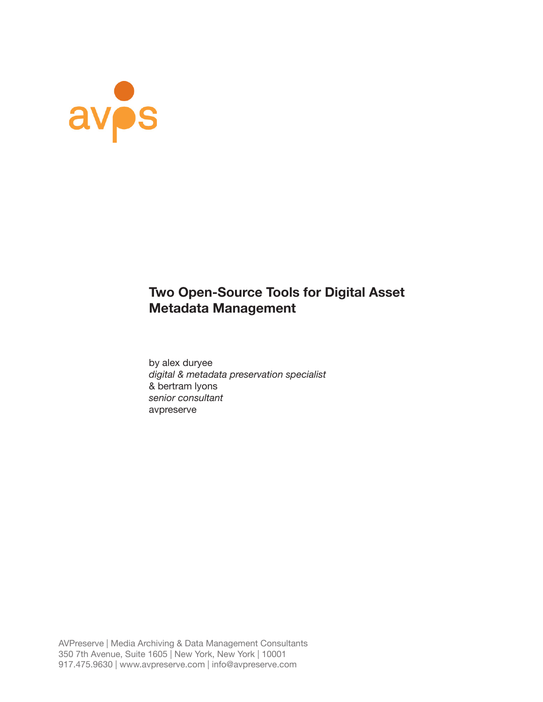

# **Two Open-Source Tools for Digital Asset Metadata Management**

by alex duryee *digital & metadata preservation specialist* & bertram lyons *senior consultant* avpreserve

AVPreserve | Media Archiving & Data Management Consultants 350 7th Avenue, Suite 1605 | New York, New York | 10001 917.475.9630 | www.avpreserve.com | info@avpreserve.com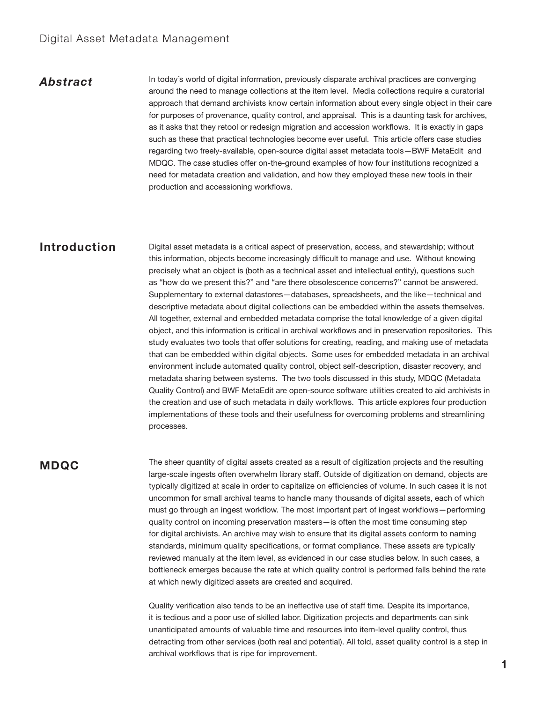## Digital Asset Metadata Management

## *Abstract*

In today's world of digital information, previously disparate archival practices are converging around the need to manage collections at the item level. Media collections require a curatorial approach that demand archivists know certain information about every single object in their care for purposes of provenance, quality control, and appraisal. This is a daunting task for archives, as it asks that they retool or redesign migration and accession workflows. It is exactly in gaps such as these that practical technologies become ever useful. This article offers case studies regarding two freely-available, open-source digital asset metadata tools—BWF MetaEdit and MDQC. The case studies offer on-the-ground examples of how four institutions recognized a need for metadata creation and validation, and how they employed these new tools in their production and accessioning workflows.

## **Introduction**

Digital asset metadata is a critical aspect of preservation, access, and stewardship; without this information, objects become increasingly difficult to manage and use. Without knowing precisely what an object is (both as a technical asset and intellectual entity), questions such as "how do we present this?" and "are there obsolescence concerns?" cannot be answered. Supplementary to external datastores—databases, spreadsheets, and the like—technical and descriptive metadata about digital collections can be embedded within the assets themselves. All together, external and embedded metadata comprise the total knowledge of a given digital object, and this information is critical in archival workflows and in preservation repositories. This study evaluates two tools that offer solutions for creating, reading, and making use of metadata that can be embedded within digital objects. Some uses for embedded metadata in an archival environment include automated quality control, object self-description, disaster recovery, and metadata sharing between systems. The two tools discussed in this study, MDQC (Metadata Quality Control) and BWF MetaEdit are open-source software utilities created to aid archivists in the creation and use of such metadata in daily workflows. This article explores four production implementations of these tools and their usefulness for overcoming problems and streamlining processes.

## **MDQC**

The sheer quantity of digital assets created as a result of digitization projects and the resulting large-scale ingests often overwhelm library staff. Outside of digitization on demand, objects are typically digitized at scale in order to capitalize on efficiencies of volume. In such cases it is not uncommon for small archival teams to handle many thousands of digital assets, each of which must go through an ingest workflow. The most important part of ingest workflows—performing quality control on incoming preservation masters—is often the most time consuming step for digital archivists. An archive may wish to ensure that its digital assets conform to naming standards, minimum quality specifications, or format compliance. These assets are typically reviewed manually at the item level, as evidenced in our case studies below. In such cases, a bottleneck emerges because the rate at which quality control is performed falls behind the rate at which newly digitized assets are created and acquired.

Quality verification also tends to be an ineffective use of staff time. Despite its importance, it is tedious and a poor use of skilled labor. Digitization projects and departments can sink unanticipated amounts of valuable time and resources into item-level quality control, thus detracting from other services (both real and potential). All told, asset quality control is a step in archival workflows that is ripe for improvement.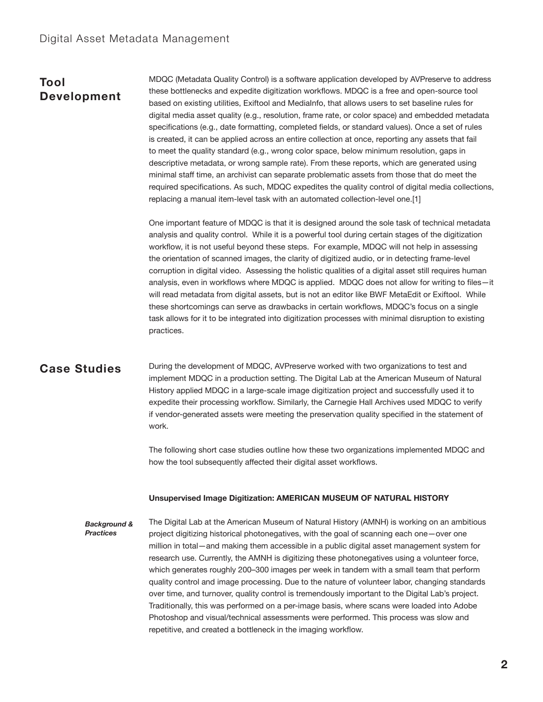# **Tool Development**

MDQC (Metadata Quality Control) is a software application developed by AVPreserve to address these bottlenecks and expedite digitization workflows. MDQC is a free and open-source tool based on existing utilities, Exiftool and MediaInfo, that allows users to set baseline rules for digital media asset quality (e.g., resolution, frame rate, or color space) and embedded metadata specifications (e.g., date formatting, completed fields, or standard values). Once a set of rules is created, it can be applied across an entire collection at once, reporting any assets that fail to meet the quality standard (e.g., wrong color space, below minimum resolution, gaps in descriptive metadata, or wrong sample rate). From these reports, which are generated using minimal staff time, an archivist can separate problematic assets from those that do meet the required specifications. As such, MDQC expedites the quality control of digital media collections, replacing a manual item-level task with an automated collection-level one.[1]

One important feature of MDQC is that it is designed around the sole task of technical metadata analysis and quality control. While it is a powerful tool during certain stages of the digitization workflow, it is not useful beyond these steps. For example, MDQC will not help in assessing the orientation of scanned images, the clarity of digitized audio, or in detecting frame-level corruption in digital video. Assessing the holistic qualities of a digital asset still requires human analysis, even in workflows where MDQC is applied. MDQC does not allow for writing to files—it will read metadata from digital assets, but is not an editor like BWF MetaEdit or Exiftool. While these shortcomings can serve as drawbacks in certain workflows, MDQC's focus on a single task allows for it to be integrated into digitization processes with minimal disruption to existing practices.

## **Case Studies**

During the development of MDQC, AVPreserve worked with two organizations to test and implement MDQC in a production setting. The Digital Lab at the American Museum of Natural History applied MDQC in a large-scale image digitization project and successfully used it to expedite their processing workflow. Similarly, the Carnegie Hall Archives used MDQC to verify if vendor-generated assets were meeting the preservation quality specified in the statement of work.

The following short case studies outline how these two organizations implemented MDQC and how the tool subsequently affected their digital asset workflows.

#### **Unsupervised Image Digitization: AMERICAN MUSEUM OF NATURAL HISTORY**

The Digital Lab at the American Museum of Natural History (AMNH) is working on an ambitious project digitizing historical photonegatives, with the goal of scanning each one—over one million in total—and making them accessible in a public digital asset management system for research use. Currently, the AMNH is digitizing these photonegatives using a volunteer force, which generates roughly 200–300 images per week in tandem with a small team that perform quality control and image processing. Due to the nature of volunteer labor, changing standards over time, and turnover, quality control is tremendously important to the Digital Lab's project. Traditionally, this was performed on a per-image basis, where scans were loaded into Adobe Photoshop and visual/technical assessments were performed. This process was slow and repetitive, and created a bottleneck in the imaging workflow. *Background & Practices*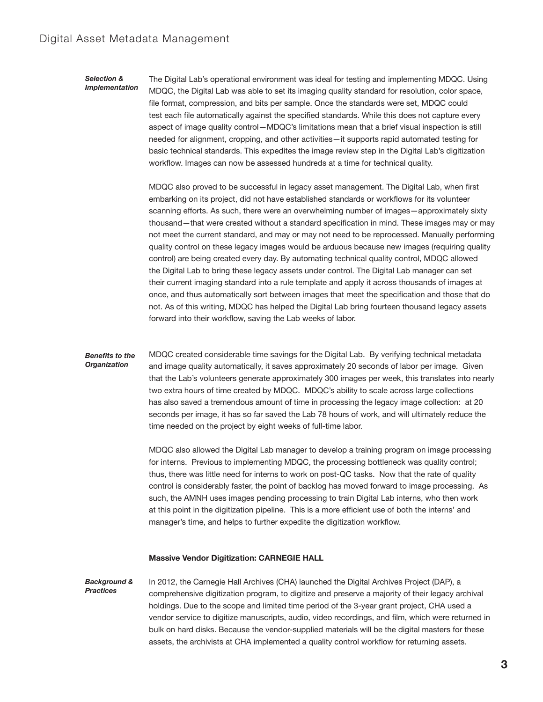## Digital Asset Metadata Management

#### *Selection & Implementation*

The Digital Lab's operational environment was ideal for testing and implementing MDQC. Using MDQC, the Digital Lab was able to set its imaging quality standard for resolution, color space, file format, compression, and bits per sample. Once the standards were set, MDQC could test each file automatically against the specified standards. While this does not capture every aspect of image quality control—MDQC's limitations mean that a brief visual inspection is still needed for alignment, cropping, and other activities—it supports rapid automated testing for basic technical standards. This expedites the image review step in the Digital Lab's digitization workflow. Images can now be assessed hundreds at a time for technical quality.

MDQC also proved to be successful in legacy asset management. The Digital Lab, when first embarking on its project, did not have established standards or workflows for its volunteer scanning efforts. As such, there were an overwhelming number of images—approximately sixty thousand—that were created without a standard specification in mind. These images may or may not meet the current standard, and may or may not need to be reprocessed. Manually performing quality control on these legacy images would be arduous because new images (requiring quality control) are being created every day. By automating technical quality control, MDQC allowed the Digital Lab to bring these legacy assets under control. The Digital Lab manager can set their current imaging standard into a rule template and apply it across thousands of images at once, and thus automatically sort between images that meet the specification and those that do not. As of this writing, MDQC has helped the Digital Lab bring fourteen thousand legacy assets forward into their workflow, saving the Lab weeks of labor.

#### *Benefits to the Organization*

MDQC created considerable time savings for the Digital Lab. By verifying technical metadata and image quality automatically, it saves approximately 20 seconds of labor per image. Given that the Lab's volunteers generate approximately 300 images per week, this translates into nearly two extra hours of time created by MDQC. MDQC's ability to scale across large collections has also saved a tremendous amount of time in processing the legacy image collection: at 20 seconds per image, it has so far saved the Lab 78 hours of work, and will ultimately reduce the time needed on the project by eight weeks of full-time labor.

MDQC also allowed the Digital Lab manager to develop a training program on image processing for interns. Previous to implementing MDQC, the processing bottleneck was quality control; thus, there was little need for interns to work on post-QC tasks. Now that the rate of quality control is considerably faster, the point of backlog has moved forward to image processing. As such, the AMNH uses images pending processing to train Digital Lab interns, who then work at this point in the digitization pipeline. This is a more efficient use of both the interns' and manager's time, and helps to further expedite the digitization workflow.

#### **Massive Vendor Digitization: CARNEGIE HALL**

In 2012, the Carnegie Hall Archives (CHA) launched the Digital Archives Project (DAP), a comprehensive digitization program, to digitize and preserve a majority of their legacy archival holdings. Due to the scope and limited time period of the 3-year grant project, CHA used a vendor service to digitize manuscripts, audio, video recordings, and film, which were returned in bulk on hard disks. Because the vendor-supplied materials will be the digital masters for these assets, the archivists at CHA implemented a quality control workflow for returning assets. *Background & Practices*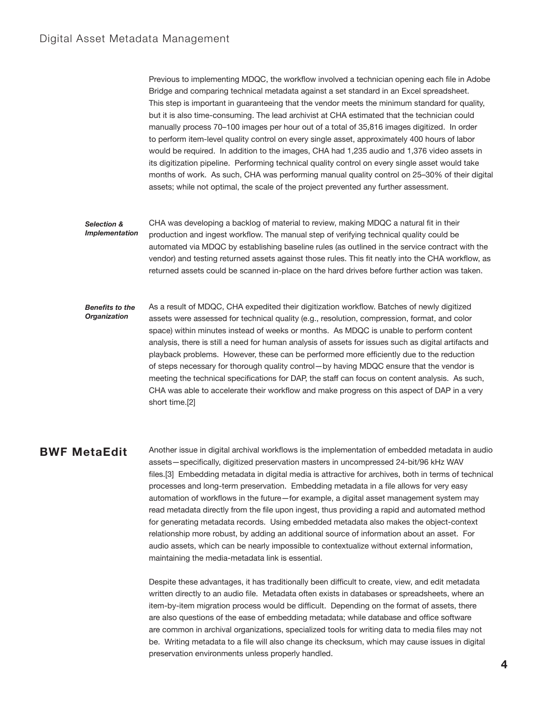Previous to implementing MDQC, the workflow involved a technician opening each file in Adobe Bridge and comparing technical metadata against a set standard in an Excel spreadsheet. This step is important in guaranteeing that the vendor meets the minimum standard for quality, but it is also time-consuming. The lead archivist at CHA estimated that the technician could manually process 70–100 images per hour out of a total of 35,816 images digitized. In order to perform item-level quality control on every single asset, approximately 400 hours of labor would be required. In addition to the images, CHA had 1,235 audio and 1,376 video assets in its digitization pipeline. Performing technical quality control on every single asset would take months of work. As such, CHA was performing manual quality control on 25–30% of their digital assets; while not optimal, the scale of the project prevented any further assessment.

- CHA was developing a backlog of material to review, making MDQC a natural fit in their production and ingest workflow. The manual step of verifying technical quality could be automated via MDQC by establishing baseline rules (as outlined in the service contract with the vendor) and testing returned assets against those rules. This fit neatly into the CHA workflow, as returned assets could be scanned in-place on the hard drives before further action was taken. *Selection & Implementation*
- As a result of MDQC, CHA expedited their digitization workflow. Batches of newly digitized assets were assessed for technical quality (e.g., resolution, compression, format, and color space) within minutes instead of weeks or months. As MDQC is unable to perform content analysis, there is still a need for human analysis of assets for issues such as digital artifacts and playback problems. However, these can be performed more efficiently due to the reduction of steps necessary for thorough quality control—by having MDQC ensure that the vendor is meeting the technical specifications for DAP, the staff can focus on content analysis. As such, CHA was able to accelerate their workflow and make progress on this aspect of DAP in a very short time.[2] *Benefits to the Organization*

## **BWF MetaEdit**

Another issue in digital archival workflows is the implementation of embedded metadata in audio assets—specifically, digitized preservation masters in uncompressed 24-bit/96 kHz WAV files.[3] Embedding metadata in digital media is attractive for archives, both in terms of technical processes and long-term preservation. Embedding metadata in a file allows for very easy automation of workflows in the future—for example, a digital asset management system may read metadata directly from the file upon ingest, thus providing a rapid and automated method for generating metadata records. Using embedded metadata also makes the object-context relationship more robust, by adding an additional source of information about an asset. For audio assets, which can be nearly impossible to contextualize without external information, maintaining the media-metadata link is essential.

Despite these advantages, it has traditionally been difficult to create, view, and edit metadata written directly to an audio file. Metadata often exists in databases or spreadsheets, where an item-by-item migration process would be difficult. Depending on the format of assets, there are also questions of the ease of embedding metadata; while database and office software are common in archival organizations, specialized tools for writing data to media files may not be. Writing metadata to a file will also change its checksum, which may cause issues in digital preservation environments unless properly handled.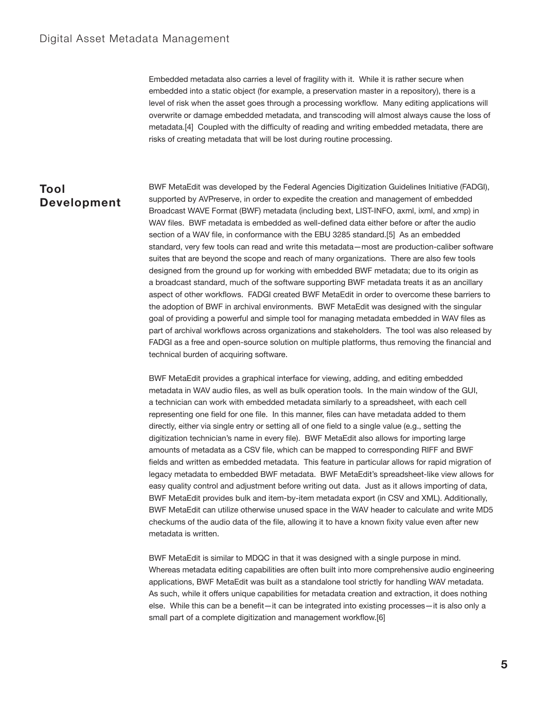Embedded metadata also carries a level of fragility with it. While it is rather secure when embedded into a static object (for example, a preservation master in a repository), there is a level of risk when the asset goes through a processing workflow. Many editing applications will overwrite or damage embedded metadata, and transcoding will almost always cause the loss of metadata.[4] Coupled with the difficulty of reading and writing embedded metadata, there are risks of creating metadata that will be lost during routine processing.

# **Tool Development**

BWF MetaEdit was developed by the Federal Agencies Digitization Guidelines Initiative (FADGI), supported by AVPreserve, in order to expedite the creation and management of embedded Broadcast WAVE Format (BWF) metadata (including bext, LIST-INFO, axml, ixml, and xmp) in WAV files. BWF metadata is embedded as well-defined data either before or after the audio section of a WAV file, in conformance with the EBU 3285 standard.[5] As an embedded standard, very few tools can read and write this metadata—most are production-caliber software suites that are beyond the scope and reach of many organizations. There are also few tools designed from the ground up for working with embedded BWF metadata; due to its origin as a broadcast standard, much of the software supporting BWF metadata treats it as an ancillary aspect of other workflows. FADGI created BWF MetaEdit in order to overcome these barriers to the adoption of BWF in archival environments. BWF MetaEdit was designed with the singular goal of providing a powerful and simple tool for managing metadata embedded in WAV files as part of archival workflows across organizations and stakeholders. The tool was also released by FADGI as a free and open-source solution on multiple platforms, thus removing the financial and technical burden of acquiring software.

BWF MetaEdit provides a graphical interface for viewing, adding, and editing embedded metadata in WAV audio files, as well as bulk operation tools. In the main window of the GUI, a technician can work with embedded metadata similarly to a spreadsheet, with each cell representing one field for one file. In this manner, files can have metadata added to them directly, either via single entry or setting all of one field to a single value (e.g., setting the digitization technician's name in every file). BWF MetaEdit also allows for importing large amounts of metadata as a CSV file, which can be mapped to corresponding RIFF and BWF fields and written as embedded metadata. This feature in particular allows for rapid migration of legacy metadata to embedded BWF metadata. BWF MetaEdit's spreadsheet-like view allows for easy quality control and adjustment before writing out data. Just as it allows importing of data, BWF MetaEdit provides bulk and item-by-item metadata export (in CSV and XML). Additionally, BWF MetaEdit can utilize otherwise unused space in the WAV header to calculate and write MD5 checkums of the audio data of the file, allowing it to have a known fixity value even after new metadata is written.

BWF MetaEdit is similar to MDQC in that it was designed with a single purpose in mind. Whereas metadata editing capabilities are often built into more comprehensive audio engineering applications, BWF MetaEdit was built as a standalone tool strictly for handling WAV metadata. As such, while it offers unique capabilities for metadata creation and extraction, it does nothing else. While this can be a benefit—it can be integrated into existing processes—it is also only a small part of a complete digitization and management workflow.[6]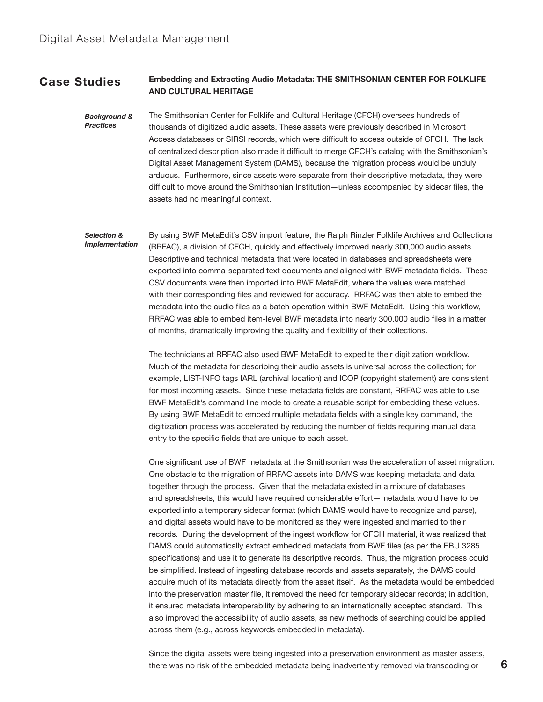#### **Embedding and Extracting Audio Metadata: THE SMITHSONIAN CENTER FOR FOLKLIFE AND CULTURAL HERITAGE Case Studies**

The Smithsonian Center for Folklife and Cultural Heritage (CFCH) oversees hundreds of thousands of digitized audio assets. These assets were previously described in Microsoft Access databases or SIRSI records, which were difficult to access outside of CFCH. The lack of centralized description also made it difficult to merge CFCH's catalog with the Smithsonian's Digital Asset Management System (DAMS), because the migration process would be unduly arduous. Furthermore, since assets were separate from their descriptive metadata, they were difficult to move around the Smithsonian Institution—unless accompanied by sidecar files, the assets had no meaningful context. *Background & Practices*

By using BWF MetaEdit's CSV import feature, the Ralph Rinzler Folklife Archives and Collections (RRFAC), a division of CFCH, quickly and effectively improved nearly 300,000 audio assets. Descriptive and technical metadata that were located in databases and spreadsheets were exported into comma-separated text documents and aligned with BWF metadata fields. These CSV documents were then imported into BWF MetaEdit, where the values were matched with their corresponding files and reviewed for accuracy. RRFAC was then able to embed the metadata into the audio files as a batch operation within BWF MetaEdit. Using this workflow, RRFAC was able to embed item-level BWF metadata into nearly 300,000 audio files in a matter of months, dramatically improving the quality and flexibility of their collections. *Selection & Implementation*

> The technicians at RRFAC also used BWF MetaEdit to expedite their digitization workflow. Much of the metadata for describing their audio assets is universal across the collection; for example, LIST-INFO tags IARL (archival location) and ICOP (copyright statement) are consistent for most incoming assets. Since these metadata fields are constant, RRFAC was able to use BWF MetaEdit's command line mode to create a reusable script for embedding these values. By using BWF MetaEdit to embed multiple metadata fields with a single key command, the digitization process was accelerated by reducing the number of fields requiring manual data entry to the specific fields that are unique to each asset.

One significant use of BWF metadata at the Smithsonian was the acceleration of asset migration. One obstacle to the migration of RRFAC assets into DAMS was keeping metadata and data together through the process. Given that the metadata existed in a mixture of databases and spreadsheets, this would have required considerable effort—metadata would have to be exported into a temporary sidecar format (which DAMS would have to recognize and parse), and digital assets would have to be monitored as they were ingested and married to their records. During the development of the ingest workflow for CFCH material, it was realized that DAMS could automatically extract embedded metadata from BWF files (as per the EBU 3285 specifications) and use it to generate its descriptive records. Thus, the migration process could be simplified. Instead of ingesting database records and assets separately, the DAMS could acquire much of its metadata directly from the asset itself. As the metadata would be embedded into the preservation master file, it removed the need for temporary sidecar records; in addition, it ensured metadata interoperability by adhering to an internationally accepted standard. This also improved the accessibility of audio assets, as new methods of searching could be applied across them (e.g., across keywords embedded in metadata).

Since the digital assets were being ingested into a preservation environment as master assets, there was no risk of the embedded metadata being inadvertently removed via transcoding or **6**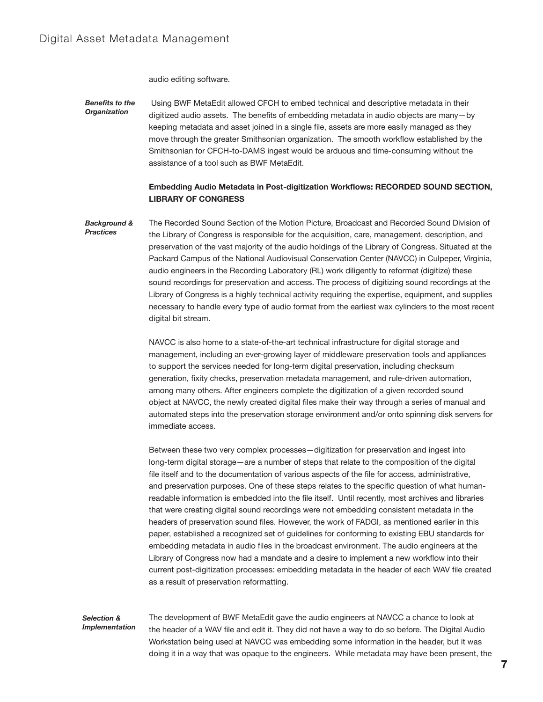audio editing software.

 Using BWF MetaEdit allowed CFCH to embed technical and descriptive metadata in their digitized audio assets. The benefits of embedding metadata in audio objects are many—by keeping metadata and asset joined in a single file, assets are more easily managed as they move through the greater Smithsonian organization. The smooth workflow established by the Smithsonian for CFCH-to-DAMS ingest would be arduous and time-consuming without the assistance of a tool such as BWF MetaEdit. *Benefits to the Organization*

### **Embedding Audio Metadata in Post-digitization Workflows: RECORDED SOUND SECTION, LIBRARY OF CONGRESS**

The Recorded Sound Section of the Motion Picture, Broadcast and Recorded Sound Division of the Library of Congress is responsible for the acquisition, care, management, description, and preservation of the vast majority of the audio holdings of the Library of Congress. Situated at the Packard Campus of the National Audiovisual Conservation Center (NAVCC) in Culpeper, Virginia, audio engineers in the Recording Laboratory (RL) work diligently to reformat (digitize) these sound recordings for preservation and access. The process of digitizing sound recordings at the Library of Congress is a highly technical activity requiring the expertise, equipment, and supplies necessary to handle every type of audio format from the earliest wax cylinders to the most recent digital bit stream. *Background & Practices*

> NAVCC is also home to a state-of-the-art technical infrastructure for digital storage and management, including an ever-growing layer of middleware preservation tools and appliances to support the services needed for long-term digital preservation, including checksum generation, fixity checks, preservation metadata management, and rule-driven automation, among many others. After engineers complete the digitization of a given recorded sound object at NAVCC, the newly created digital files make their way through a series of manual and automated steps into the preservation storage environment and/or onto spinning disk servers for immediate access.

> Between these two very complex processes—digitization for preservation and ingest into long-term digital storage—are a number of steps that relate to the composition of the digital file itself and to the documentation of various aspects of the file for access, administrative, and preservation purposes. One of these steps relates to the specific question of what humanreadable information is embedded into the file itself. Until recently, most archives and libraries that were creating digital sound recordings were not embedding consistent metadata in the headers of preservation sound files. However, the work of FADGI, as mentioned earlier in this paper, established a recognized set of guidelines for conforming to existing EBU standards for embedding metadata in audio files in the broadcast environment. The audio engineers at the Library of Congress now had a mandate and a desire to implement a new workflow into their current post-digitization processes: embedding metadata in the header of each WAV file created as a result of preservation reformatting.

#### *Selection & Implementation*

The development of BWF MetaEdit gave the audio engineers at NAVCC a chance to look at the header of a WAV file and edit it. They did not have a way to do so before. The Digital Audio Workstation being used at NAVCC was embedding some information in the header, but it was doing it in a way that was opaque to the engineers. While metadata may have been present, the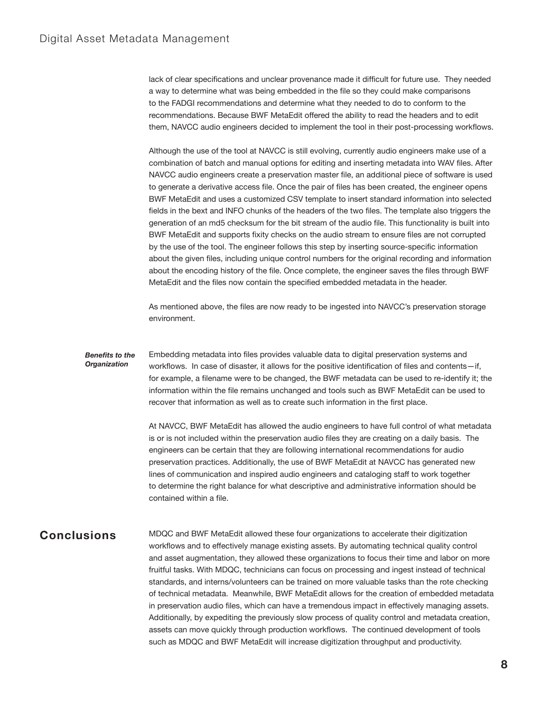lack of clear specifications and unclear provenance made it difficult for future use. They needed a way to determine what was being embedded in the file so they could make comparisons to the FADGI recommendations and determine what they needed to do to conform to the recommendations. Because BWF MetaEdit offered the ability to read the headers and to edit them, NAVCC audio engineers decided to implement the tool in their post-processing workflows.

Although the use of the tool at NAVCC is still evolving, currently audio engineers make use of a combination of batch and manual options for editing and inserting metadata into WAV files. After NAVCC audio engineers create a preservation master file, an additional piece of software is used to generate a derivative access file. Once the pair of files has been created, the engineer opens BWF MetaEdit and uses a customized CSV template to insert standard information into selected fields in the bext and INFO chunks of the headers of the two files. The template also triggers the generation of an md5 checksum for the bit stream of the audio file. This functionality is built into BWF MetaEdit and supports fixity checks on the audio stream to ensure files are not corrupted by the use of the tool. The engineer follows this step by inserting source-specific information about the given files, including unique control numbers for the original recording and information about the encoding history of the file. Once complete, the engineer saves the files through BWF MetaEdit and the files now contain the specified embedded metadata in the header.

As mentioned above, the files are now ready to be ingested into NAVCC's preservation storage environment.

#### *Benefits to the Organization*

Embedding metadata into files provides valuable data to digital preservation systems and workflows. In case of disaster, it allows for the positive identification of files and contents—if, for example, a filename were to be changed, the BWF metadata can be used to re-identify it; the information within the file remains unchanged and tools such as BWF MetaEdit can be used to recover that information as well as to create such information in the first place.

At NAVCC, BWF MetaEdit has allowed the audio engineers to have full control of what metadata is or is not included within the preservation audio files they are creating on a daily basis. The engineers can be certain that they are following international recommendations for audio preservation practices. Additionally, the use of BWF MetaEdit at NAVCC has generated new lines of communication and inspired audio engineers and cataloging staff to work together to determine the right balance for what descriptive and administrative information should be contained within a file.

## **Conclusions**

MDQC and BWF MetaEdit allowed these four organizations to accelerate their digitization workflows and to effectively manage existing assets. By automating technical quality control and asset augmentation, they allowed these organizations to focus their time and labor on more fruitful tasks. With MDQC, technicians can focus on processing and ingest instead of technical standards, and interns/volunteers can be trained on more valuable tasks than the rote checking of technical metadata. Meanwhile, BWF MetaEdit allows for the creation of embedded metadata in preservation audio files, which can have a tremendous impact in effectively managing assets. Additionally, by expediting the previously slow process of quality control and metadata creation, assets can move quickly through production workflows. The continued development of tools such as MDQC and BWF MetaEdit will increase digitization throughput and productivity.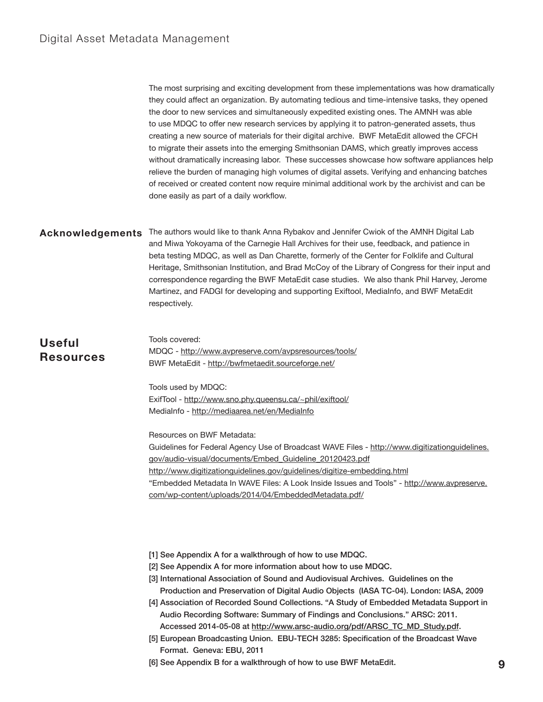The most surprising and exciting development from these implementations was how dramatically they could affect an organization. By automating tedious and time-intensive tasks, they opened the door to new services and simultaneously expedited existing ones. The AMNH was able to use MDQC to offer new research services by applying it to patron-generated assets, thus creating a new source of materials for their digital archive. BWF MetaEdit allowed the CFCH to migrate their assets into the emerging Smithsonian DAMS, which greatly improves access without dramatically increasing labor. These successes showcase how software appliances help relieve the burden of managing high volumes of digital assets. Verifying and enhancing batches of received or created content now require minimal additional work by the archivist and can be done easily as part of a daily workflow.

**Acknowledgements**

The authors would like to thank Anna Rybakov and Jennifer Cwiok of the AMNH Digital Lab and Miwa Yokoyama of the Carnegie Hall Archives for their use, feedback, and patience in beta testing MDQC, as well as Dan Charette, formerly of the Center for Folklife and Cultural Heritage, Smithsonian Institution, and Brad McCoy of the Library of Congress for their input and correspondence regarding the BWF MetaEdit case studies. We also thank Phil Harvey, Jerome Martinez, and FADGI for developing and supporting Exiftool, MediaInfo, and BWF MetaEdit respectively.

| <b>Useful</b><br><b>Resources</b> | Tools covered:<br>MDQC - http://www.avpreserve.com/avpsresources/tools/<br>BWF MetaEdit - http://bwfmetaedit.sourceforge.net/ |
|-----------------------------------|-------------------------------------------------------------------------------------------------------------------------------|
|                                   | $\cdots$                                                                                                                      |

Tools used by MDQC: ExifTool - <http://www.sno.phy.queensu.ca/~phil/exiftool/> MediaInfo - <http://mediaarea.net/en/MediaInfo>

Resources on BWF Metadata:

Guidelines for Federal Agency Use of Broadcast WAVE Files - [http://www.digitizationguidelines.](http://www.digitizationguidelines.gov/audio-visual/documents/Embed_Guideline_20120423.pdf) [gov/audio-visual/documents/Embed\\_Guideline\\_20120423.pdf](http://www.digitizationguidelines.gov/audio-visual/documents/Embed_Guideline_20120423.pdf) <http://www.digitizationguidelines.gov/guidelines/digitize-embedding.html> "Embedded Metadata In WAVE Files: A Look Inside Issues and Tools" - [http://www.avpreserve.](http://www.avpreserve.com/wp-content/uploads/2014/04/EmbeddedMetadata.pdf/) [com/wp-content/uploads/2014/04/EmbeddedMetadata.pdf/](http://www.avpreserve.com/wp-content/uploads/2014/04/EmbeddedMetadata.pdf/)

- [1] See Appendix A for a walkthrough of how to use MDQC.
- [2] See Appendix A for more information about how to use MDQC.

| [3] International Association of Sound and Audiovisual Archives. Guidelines on the    |
|---------------------------------------------------------------------------------------|
| Production and Preservation of Digital Audio Objects (IASA TC-04). London: IASA, 2009 |

- [4] Association of Recorded Sound Collections. "A Study of Embedded Metadata Support in Audio Recording Software: Summary of Findings and Conclusions." ARSC: 2011. Accessed 2014-05-08 at [http://www.arsc-audio.org/pdf/ARSC\\_TC\\_MD\\_Study.pdf.](http://www.arsc-audio.org/pdf/ARSC_TC_MD_Study.pdf)
- [5] European Broadcasting Union. EBU-TECH 3285: Specification of the Broadcast Wave Format. Geneva: EBU, 2011
- [6] See Appendix B for a walkthrough of how to use BWF MetaEdit. **9**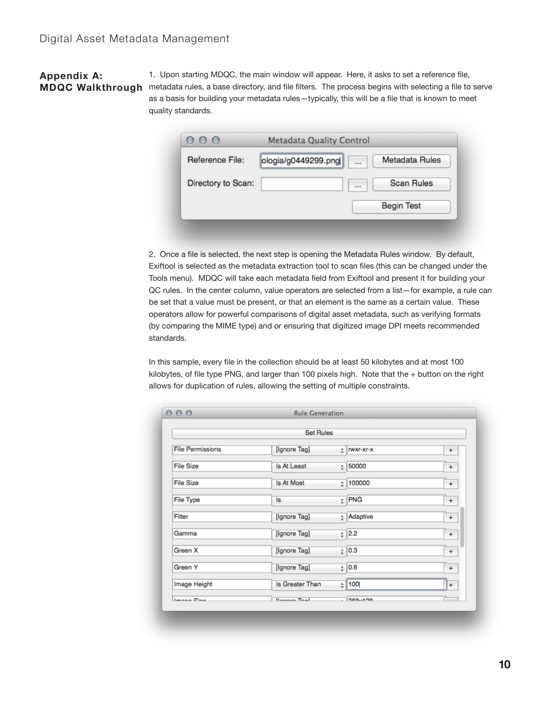# **Appendix A:**

1. Upon starting MDQC, the main window will appear. Here, it asks to set a reference file, **MDQC Walkthrough** metadata rules, a base directory, and file filters. The process begins with selecting a file to serve as a basis for building your metadata rules—typically, this will be a file that is known to meet quality standards.

| Reference File:    | ologia/g0449299.png | $\cdots$ | <b>Metadata Rules</b> |
|--------------------|---------------------|----------|-----------------------|
| Directory to Scan: |                     | 1.11     | <b>Scan Rules</b>     |
|                    |                     |          | <b>Begin Test</b>     |

2. Once a file is selected, the next step is opening the Metadata Rules window. By default, Exiftool is selected as the metadata extraction tool to scan files (this can be changed under the Tools menu). MDQC will take each metadata field from Exiftool and present it for building your QC rules. In the center column, value operators are selected from a list—for example, a rule can be set that a value must be present, or that an element is the same as a certain value. These operators allow for powerful comparisons of digital asset metadata, such as verifying formats (by comparing the MIME type) and or ensuring that digitized image DPI meets recommended standards.

In this sample, every file in the collection should be at least 50 kilobytes and at most 100 kilobytes, of file type PNG, and larger than 100 pixels high. Note that the + button on the right allows for duplication of rules, allowing the setting of multiple constraints.

|                         | <b>Set Rules</b> |                      |           |  |
|-------------------------|------------------|----------------------|-----------|--|
| <b>File Permissions</b> | [Ignore Tag]     | $\div$   rwxr-xr-x   | $+$       |  |
| <b>File Size</b>        | Is At Least      | $\frac{1}{x}$ 50000  | $\ddot{}$ |  |
| <b>File Size</b>        | Is At Most       | $\frac{1}{r}$ 100000 | $+$       |  |
| <b>File Type</b>        | ls               | $\div$ PNG           | $+$       |  |
| Filter                  | [Ignore Tag]     | # Adaptive           | $+$       |  |
| Gamma                   | [Ignore Tag]     | $\frac{1}{7}$ 2.2    | $+$       |  |
| Green X                 | [Ignore Tag]     | ${}_{+}^{+}$ 0.3     | $\ddot{}$ |  |
| Green Y                 | [Ignore Tag]     | ${}_{+}^{\circ}$ 0.6 | $\ddot{}$ |  |
| Image Height            | Is Greater Than  | $\frac{1}{7}$ 100    | $+$       |  |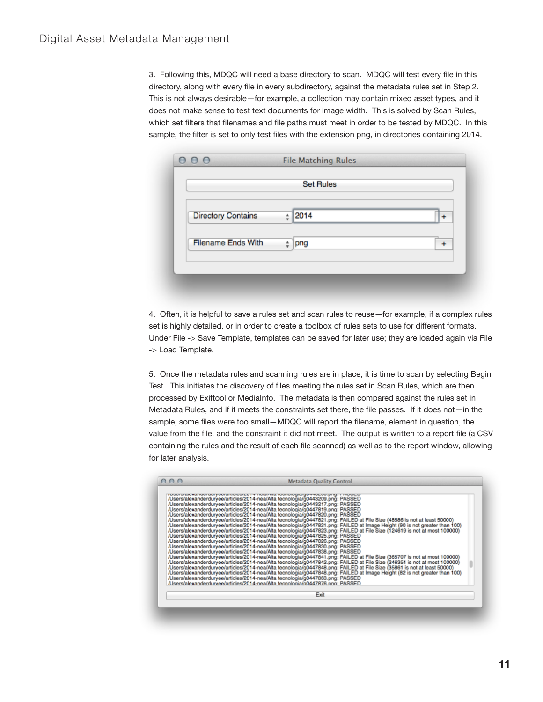3. Following this, MDQC will need a base directory to scan. MDQC will test every file in this directory, along with every file in every subdirectory, against the metadata rules set in Step 2. This is not always desirable—for example, a collection may contain mixed asset types, and it does not make sense to test text documents for image width. This is solved by Scan Rules, which set filters that filenames and file paths must meet in order to be tested by MDQC. In this sample, the filter is set to only test files with the extension png, in directories containing 2014.

|                           | <b>Set Rules</b>   |     |
|---------------------------|--------------------|-----|
| <b>Directory Contains</b> | $\frac{1}{7}$ 2014 | $+$ |
| <b>Filename Ends With</b> | png<br>÷           | 4   |

4. Often, it is helpful to save a rules set and scan rules to reuse—for example, if a complex rules set is highly detailed, or in order to create a toolbox of rules sets to use for different formats. Under File -> Save Template, templates can be saved for later use; they are loaded again via File -> Load Template.

5. Once the metadata rules and scanning rules are in place, it is time to scan by selecting Begin Test. This initiates the discovery of files meeting the rules set in Scan Rules, which are then processed by Exiftool or MediaInfo. The metadata is then compared against the rules set in Metadata Rules, and if it meets the constraints set there, the file passes. If it does not—in the sample, some files were too small—MDQC will report the filename, element in question, the value from the file, and the constraint it did not meet. The output is written to a report file (a CSV containing the rules and the result of each file scanned) as well as to the report window, allowing for later analysis.

| /Users/alexanderduryee/articles/2014-nea/Alta tecnologia/g0443209.png: PASSED<br>/Users/alexanderduryee/articles/2014-nea/Alta tecnologia/g0443217.png: PASSED<br>/Users/alexanderduryee/articles/2014-nea/Alta tecnologia/g0447819.png: PASSED<br>/Users/alexanderduryee/articles/2014-nea/Alta tecnologia/g0447820.png: PASSED<br>/Users/alexanderduryee/articles/2014-nea/Alta tecnologia/g0447821.png: FAILED at File Size (48586 is not at least 50000)<br>/Users/alexanderduryee/articles/2014-nea/Alta tecnologia/g0447821.png: FAILED at Image Height (90 is not greater than 100)<br>/Users/alexanderduryee/articles/2014-nea/Alta tecnologia/g0447823.png: FAILED at File Size (124619 is not at most 100000)<br>/Users/alexanderduryee/articles/2014-nea/Alta tecnologia/g0447825.png: PASSED<br>/Users/alexanderduryee/articles/2014-nea/Alta tecnologia/g0447826.png: PASSED<br>/Users/alexanderduryee/articles/2014-nea/Alta tecnologia/g0447830.png: PASSED<br>/Users/alexanderduryee/articles/2014-nea/Alta tecnologia/g0447838.png: PASSED<br>/Users/alexanderduryee/articles/2014-nea/Alta tecnologia/g0447841.png: FAILED at File Size (365707 is not at most 100000)<br>/Users/alexanderduryee/articles/2014-nea/Alta tecnologia/g0447842.png: FAILED at File Size (246351 is not at most 100000)<br>/Users/alexanderduryee/articles/2014-nea/Alta tecnologia/g0447848.png: FAILED at File Size (35861 is not at least 50000)<br>/Users/alexanderduryee/articles/2014-nea/Alta tecnologia/g0447848.png: FAILED at Image Height (82 is not greater than 100)<br>/Users/alexanderduryee/articles/2014-nea/Alta tecnologia/g0447863.png: PASSED<br>/Users/alexanderduryee/articles/2014-nea/Alta tecnologia/00447876.png: PASSED |  |
|---------------------------------------------------------------------------------------------------------------------------------------------------------------------------------------------------------------------------------------------------------------------------------------------------------------------------------------------------------------------------------------------------------------------------------------------------------------------------------------------------------------------------------------------------------------------------------------------------------------------------------------------------------------------------------------------------------------------------------------------------------------------------------------------------------------------------------------------------------------------------------------------------------------------------------------------------------------------------------------------------------------------------------------------------------------------------------------------------------------------------------------------------------------------------------------------------------------------------------------------------------------------------------------------------------------------------------------------------------------------------------------------------------------------------------------------------------------------------------------------------------------------------------------------------------------------------------------------------------------------------------------------------------------------------------------------------------------------------------------------------|--|
| Exit                                                                                                                                                                                                                                                                                                                                                                                                                                                                                                                                                                                                                                                                                                                                                                                                                                                                                                                                                                                                                                                                                                                                                                                                                                                                                                                                                                                                                                                                                                                                                                                                                                                                                                                                              |  |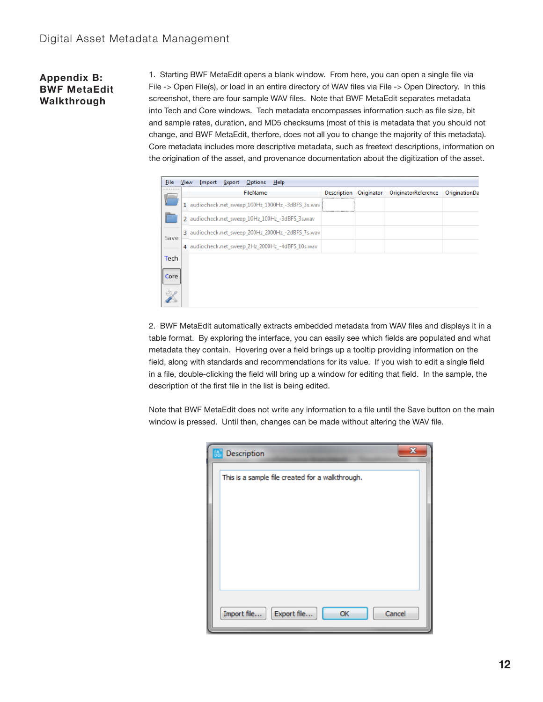## **Appendix B: BWF MetaEdit Walkthrough**

1. Starting BWF MetaEdit opens a blank window. From here, you can open a single file via File -> Open File(s), or load in an entire directory of WAV files via File -> Open Directory. In this screenshot, there are four sample WAV files. Note that BWF MetaEdit separates metadata into Tech and Core windows. Tech metadata encompasses information such as file size, bit and sample rates, duration, and MD5 checksums (most of this is metadata that you should not change, and BWF MetaEdit, therfore, does not all you to change the majority of this metadata). Core metadata includes more descriptive metadata, such as freetext descriptions, information on the origination of the asset, and provenance documentation about the digitization of the asset.

| File<br>View<br>Import<br>Export<br>Options<br>Help |  |                                                   |                    |            |                     |               |  |  |
|-----------------------------------------------------|--|---------------------------------------------------|--------------------|------------|---------------------|---------------|--|--|
|                                                     |  | FileName                                          | <b>Description</b> | Originator | OriginatorReference | OriginationDa |  |  |
|                                                     |  | 1 audiocheck.net sweep 100Hz 1000Hz -3dBFS 3s.wav |                    |            |                     |               |  |  |
|                                                     |  | 2 audiocheck.net sweep 10Hz 100Hz -3dBFS 3s.wav   |                    |            |                     |               |  |  |
| Save                                                |  | 3 audiocheck.net_sweep_200Hz_2000Hz_-2dBFS_7s.wav |                    |            |                     |               |  |  |
|                                                     |  | 4 audiocheck.net_sweep_2Hz_2000Hz_-4dBFS_10s.wav  |                    |            |                     |               |  |  |
| Tech                                                |  |                                                   |                    |            |                     |               |  |  |
| Core                                                |  |                                                   |                    |            |                     |               |  |  |
|                                                     |  |                                                   |                    |            |                     |               |  |  |

2. BWF MetaEdit automatically extracts embedded metadata from WAV files and displays it in a table format. By exploring the interface, you can easily see which fields are populated and what metadata they contain. Hovering over a field brings up a tooltip providing information on the field, along with standards and recommendations for its value. If you wish to edit a single field in a file, double-clicking the field will bring up a window for editing that field. In the sample, the description of the first file in the list is being edited.

Note that BWF MetaEdit does not write any information to a file until the Save button on the main window is pressed. Until then, changes can be made without altering the WAV file.

| $\overline{\mathbf{X}}$<br><b>Mail</b> Description |
|----------------------------------------------------|
| This is a sample file created for a walkthrough.   |
|                                                    |
|                                                    |
|                                                    |
|                                                    |
|                                                    |
|                                                    |
| Import file<br>Export file<br>Cancel<br>OK         |